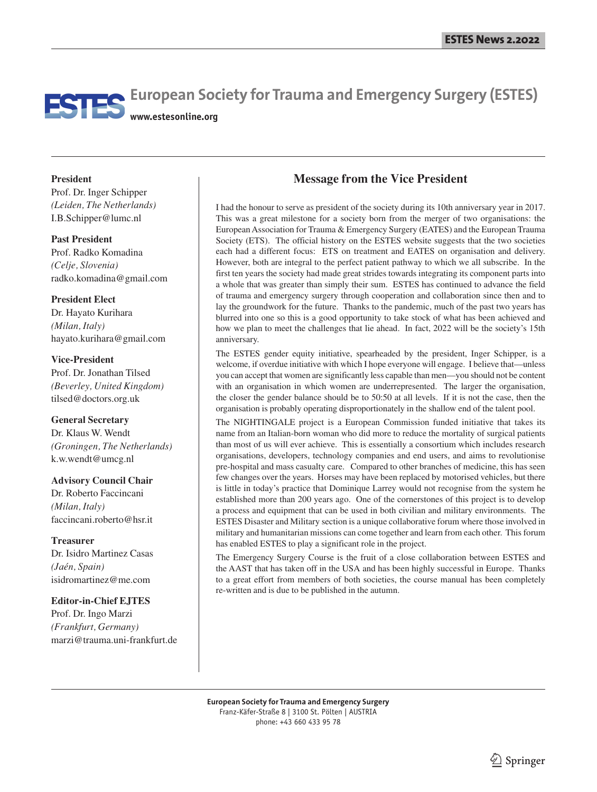# **European Society for Trauma and Emergency Surgery (ESTES) www.estesonline.org**

#### **President**

Prof. Dr. Inger Schipper *(Leiden, The Netherlands)* I.B.Schipper@lumc.nl

**Past President** Prof. Radko Komadina *(Celje, Slovenia)* radko.komadina@gmail.com

#### **President Elect**

Dr. Hayato Kurihara *(Milan, Italy)* hayato.kurihara@gmail.com

#### **Vice-President**

Prof. Dr. Jonathan Tilsed *(Beverley, United Kingdom)* tilsed@doctors.org.uk

#### **General Secretary**

Dr. Klaus W. Wendt *(Groningen, The Netherlands)* k.w.wendt@umcg.nl

#### **Advisory Council Chair**

Dr. Roberto Faccincani *(Milan, Italy)* faccincani.roberto@hsr.it

#### **Treasurer**

Dr. Isidro Martinez Casas *(Jaén, Spain)* isidromartinez@me.com

#### **Editor-in-Chief EJTES**

Prof. Dr. Ingo Marzi *(Frankfurt, Germany)* marzi@trauma.uni-frankfurt.de

## **Message from the Vice President**

I had the honour to serve as president of the society during its 10th anniversary year in 2017. This was a great milestone for a society born from the merger of two organisations: the European Association for Trauma & Emergency Surgery (EATES) and the European Trauma Society (ETS). The official history on the ESTES website suggests that the two societies each had a different focus: ETS on treatment and EATES on organisation and delivery. However, both are integral to the perfect patient pathway to which we all subscribe. In the first ten years the society had made great strides towards integrating its component parts into a whole that was greater than simply their sum. ESTES has continued to advance the field of trauma and emergency surgery through cooperation and collaboration since then and to lay the groundwork for the future. Thanks to the pandemic, much of the past two years has blurred into one so this is a good opportunity to take stock of what has been achieved and how we plan to meet the challenges that lie ahead. In fact, 2022 will be the society's 15th anniversary.

The ESTES gender equity initiative, spearheaded by the president, Inger Schipper, is a welcome, if overdue initiative with which I hope everyone will engage. I believe that—unless you can accept that women are significantly less capable than men—you should not be content with an organisation in which women are underrepresented. The larger the organisation, the closer the gender balance should be to 50:50 at all levels. If it is not the case, then the organisation is probably operating disproportionately in the shallow end of the talent pool.

The NIGHTINGALE project is a European Commission funded initiative that takes its name from an Italian-born woman who did more to reduce the mortality of surgical patients than most of us will ever achieve. This is essentially a consortium which includes research organisations, developers, technology companies and end users, and aims to revolutionise pre-hospital and mass casualty care. Compared to other branches of medicine, this has seen few changes over the years. Horses may have been replaced by motorised vehicles, but there is little in today's practice that Dominique Larrey would not recognise from the system he established more than 200 years ago. One of the cornerstones of this project is to develop a process and equipment that can be used in both civilian and military environments. The ESTES Disaster and Military section is a unique collaborative forum where those involved in military and humanitarian missions can come together and learn from each other. This forum has enabled ESTES to play a significant role in the project.

The Emergency Surgery Course is the fruit of a close collaboration between ESTES and the AAST that has taken off in the USA and has been highly successful in Europe. Thanks to a great effort from members of both societies, the course manual has been completely re-written and is due to be published in the autumn.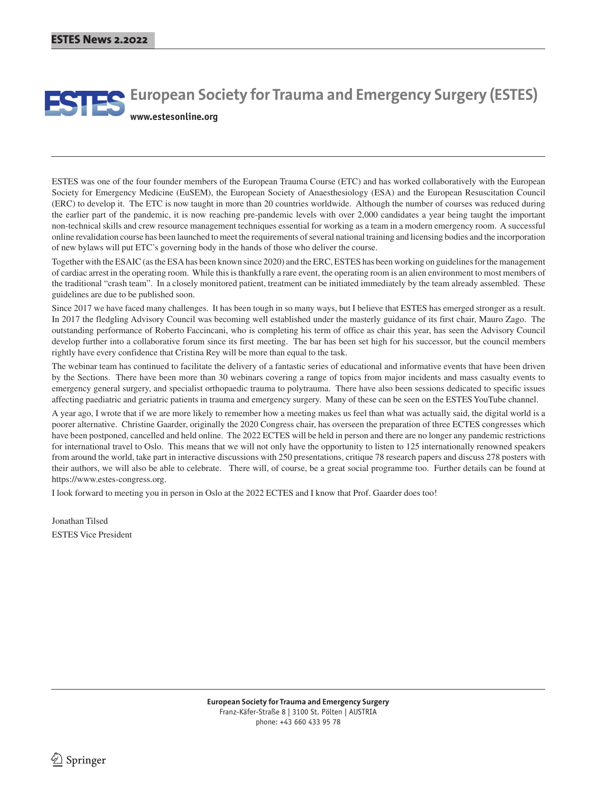# **ESTES** European Society for Trauma and Emergency Surgery (ESTES) **www.estesonline.org**

ESTES was one of the four founder members of the European Trauma Course (ETC) and has worked collaboratively with the European Society for Emergency Medicine (EuSEM), the European Society of Anaesthesiology (ESA) and the European Resuscitation Council (ERC) to develop it. The ETC is now taught in more than 20 countries worldwide. Although the number of courses was reduced during the earlier part of the pandemic, it is now reaching pre-pandemic levels with over 2,000 candidates a year being taught the important non-technical skills and crew resource management techniques essential for working as a team in a modern emergency room. A successful online revalidation course has been launched to meet the requirements of several national training and licensing bodies and the incorporation of new bylaws will put ETC's governing body in the hands of those who deliver the course.

Together with the ESAIC (as the ESA has been known since 2020) and the ERC, ESTES has been working on guidelines for the management of cardiac arrest in the operating room. While this is thankfully a rare event, the operating room is an alien environment to most members of the traditional "crash team". In a closely monitored patient, treatment can be initiated immediately by the team already assembled. These guidelines are due to be published soon.

Since 2017 we have faced many challenges. It has been tough in so many ways, but I believe that ESTES has emerged stronger as a result. In 2017 the fledgling Advisory Council was becoming well established under the masterly guidance of its first chair, Mauro Zago. The outstanding performance of Roberto Faccincani, who is completing his term of office as chair this year, has seen the Advisory Council develop further into a collaborative forum since its first meeting. The bar has been set high for his successor, but the council members rightly have every confidence that Cristina Rey will be more than equal to the task.

The webinar team has continued to facilitate the delivery of a fantastic series of educational and informative events that have been driven by the Sections. There have been more than 30 webinars covering a range of topics from major incidents and mass casualty events to emergency general surgery, and specialist orthopaedic trauma to polytrauma. There have also been sessions dedicated to specific issues affecting paediatric and geriatric patients in trauma and emergency surgery. Many of these can be seen on the ESTES YouTube channel.

A year ago, I wrote that if we are more likely to remember how a meeting makes us feel than what was actually said, the digital world is a poorer alternative. Christine Gaarder, originally the 2020 Congress chair, has overseen the preparation of three ECTES congresses which have been postponed, cancelled and held online. The 2022 ECTES will be held in person and there are no longer any pandemic restrictions for international travel to Oslo. This means that we will not only have the opportunity to listen to 125 internationally renowned speakers from around the world, take part in interactive discussions with 250 presentations, critique 78 research papers and discuss 278 posters with their authors, we will also be able to celebrate. There will, of course, be a great social programme too. Further details can be found at https://www.estes-congress.org.

I look forward to meeting you in person in Oslo at the 2022 ECTES and I know that Prof. Gaarder does too!

Jonathan Tilsed ESTES Vice President